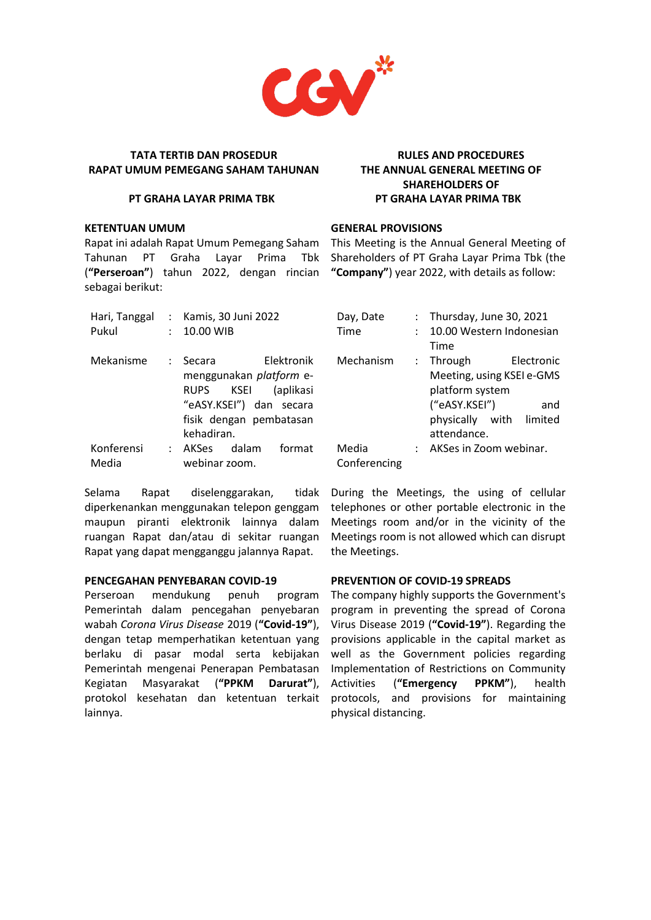

#### **PT GRAHA LAYAR PRIMA TBK**

#### **KETENTUAN UMUM**

Rapat ini adalah Rapat Umum Pemegang Saham This Meeting is the Annual General Meeting of Tahunan PT Graha Lavar (**"Perseroan"**) tahun 2022, dengan rincian **"Company"**) year 2022, with details as follow: sebagai berikut:

| Pukul               |                   | Hari, Tanggal : Kamis, 30 Juni 2022<br>10.00 WIB                                                                                              |
|---------------------|-------------------|-----------------------------------------------------------------------------------------------------------------------------------------------|
| Mekanisme           | $\sim$ 100 $\sim$ | Elektronik<br>Secara<br>menggunakan platform e-<br>KSEI (aplikasi<br>RUPS<br>"eASY.KSEI") dan secara<br>fisik dengan pembatasan<br>kehadiran. |
| Konferensi<br>Media | $\mathcal{L}$     | AKSes dalam<br>format<br>webinar zoom.                                                                                                        |

Selama Rapat diselenggarakan, tidak diperkenankan menggunakan telepon genggam maupun piranti elektronik lainnya dalam ruangan Rapat dan/atau di sekitar ruangan Rapat yang dapat mengganggu jalannya Rapat.

## **PENCEGAHAN PENYEBARAN COVID-19**

Perseroan mendukung penuh program Pemerintah dalam pencegahan penyebaran wabah *Corona Virus Disease* 2019 (**"Covid-19"**), dengan tetap memperhatikan ketentuan yang berlaku di pasar modal serta kebijakan Pemerintah mengenai Penerapan Pembatasan Kegiatan Masyarakat (**"PPKM Darurat"**), protokol kesehatan dan ketentuan terkait lainnya.

# **RULES AND PROCEDURES THE ANNUAL GENERAL MEETING OF SHAREHOLDERS OF PT GRAHA LAYAR PRIMA TBK**

# **GENERAL PROVISIONS**

Prima Tbk Shareholders of PT Graha Layar Prima Tbk (the

| Day, Date    | : Thursday, June 30, 2021        |
|--------------|----------------------------------|
| Time         | 10.00 Western Indonesian<br>Time |
| Mechanism    | : Through<br>Electronic          |
|              | Meeting, using KSEI e-GMS        |
|              | platform system                  |
|              | ("eASY.KSEI")<br>and             |
|              | physically with limited          |
|              | attendance.                      |
| Media        | AKSes in Zoom webinar.           |
| Conferencing |                                  |

During the Meetings, the using of cellular telephones or other portable electronic in the Meetings room and/or in the vicinity of the Meetings room is not allowed which can disrupt the Meetings.

# **PREVENTION OF COVID-19 SPREADS**

The company highly supports the Government's program in preventing the spread of Corona Virus Disease 2019 (**"Covid-19"**). Regarding the provisions applicable in the capital market as well as the Government policies regarding Implementation of Restrictions on Community Activities (**"Emergency PPKM"**), health protocols, and provisions for maintaining physical distancing.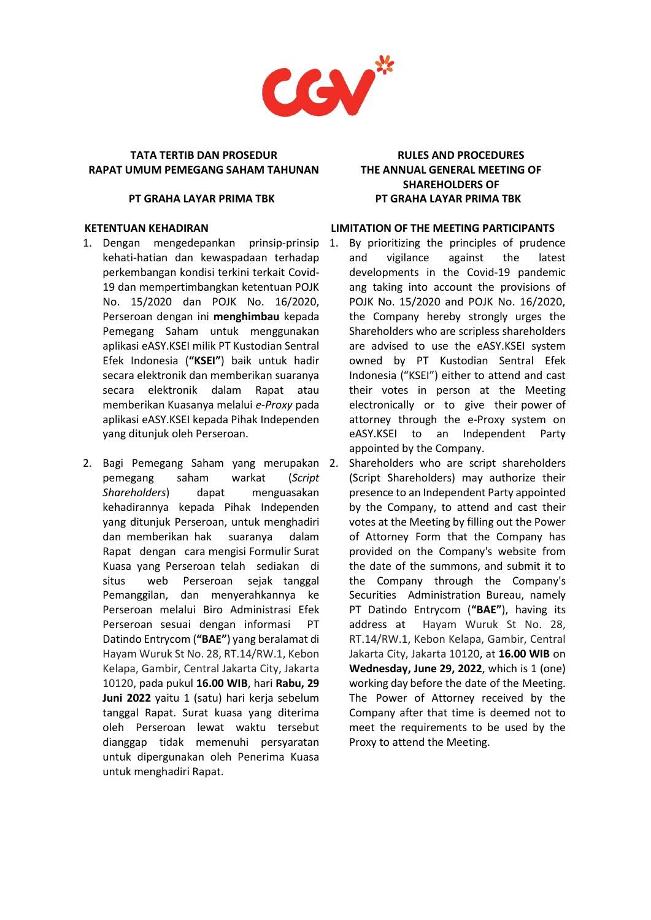

#### **PT GRAHA LAYAR PRIMA TBK**

# **KETENTUAN KEHADIRAN**

- 1. Dengan mengedepankan prinsip-prinsip kehati-hatian dan kewaspadaan terhadap perkembangan kondisi terkini terkait Covid-19 dan mempertimbangkan ketentuan POJK No. 15/2020 dan POJK No. 16/2020, Perseroan dengan ini **menghimbau** kepada Pemegang Saham untuk menggunakan aplikasi eASY.KSEI milik PT Kustodian Sentral Efek Indonesia (**"KSEI"**) baik untuk hadir secara elektronik dan memberikan suaranya secara elektronik dalam Rapat atau memberikan Kuasanya melalui *e-Proxy* pada aplikasi eASY.KSEI kepada Pihak Independen yang ditunjuk oleh Perseroan.
- 2. Bagi Pemegang Saham yang merupakan pemegang saham warkat (*Script Shareholders*) dapat menguasakan kehadirannya kepada Pihak Independen yang ditunjuk Perseroan, untuk menghadiri dan memberikan hak suaranya dalam Rapat dengan cara mengisi Formulir Surat Kuasa yang Perseroan telah sediakan di situs web Perseroan sejak tanggal Pemanggilan, dan menyerahkannya ke Perseroan melalui Biro Administrasi Efek Perseroan sesuai dengan informasi PT Datindo Entrycom (**"BAE"**) yang beralamat di Hayam Wuruk St No. 28, RT.14/RW.1, Kebon Kelapa, Gambir, Central Jakarta City, Jakarta 10120, pada pukul **16.00 WIB**, hari **Rabu, 29**  Juni 2022 yaitu 1 (satu) hari kerja sebelum tanggal Rapat. Surat kuasa yang diterima oleh Perseroan lewat waktu tersebut dianggap tidak memenuhi persyaratan untuk dipergunakan oleh Penerima Kuasa untuk menghadiri Rapat.

# **RULES AND PROCEDURES THE ANNUAL GENERAL MEETING OF SHAREHOLDERS OF PT GRAHA LAYAR PRIMA TBK**

#### **LIMITATION OF THE MEETING PARTICIPANTS**

- 1. By prioritizing the principles of prudence and vigilance against the latest developments in the Covid-19 pandemic ang taking into account the provisions of POJK No. 15/2020 and POJK No. 16/2020, the Company hereby strongly urges the Shareholders who are scripless shareholders are advised to use the eASY.KSEI system owned by PT Kustodian Sentral Efek Indonesia ("KSEI") either to attend and cast their votes in person at the Meeting electronically or to give their power of attorney through the e-Proxy system on eASY.KSEI to an Independent Party appointed by the Company.
	- Shareholders who are script shareholders (Script Shareholders) may authorize their presence to an Independent Party appointed by the Company, to attend and cast their votes at the Meeting by filling out the Power of Attorney Form that the Company has provided on the Company's website from the date of the summons, and submit it to the Company through the Company's Securities Administration Bureau, namely PT Datindo Entrycom (**"BAE"**), having its address at Hayam Wuruk St No. 28, RT.14/RW.1, Kebon Kelapa, Gambir, Central Jakarta City, Jakarta 10120, at **16.00 WIB** on **Wednesday, June 29, 2022**, which is 1 (one) working day before the date of the Meeting. The Power of Attorney received by the Company after that time is deemed not to meet the requirements to be used by the Proxy to attend the Meeting.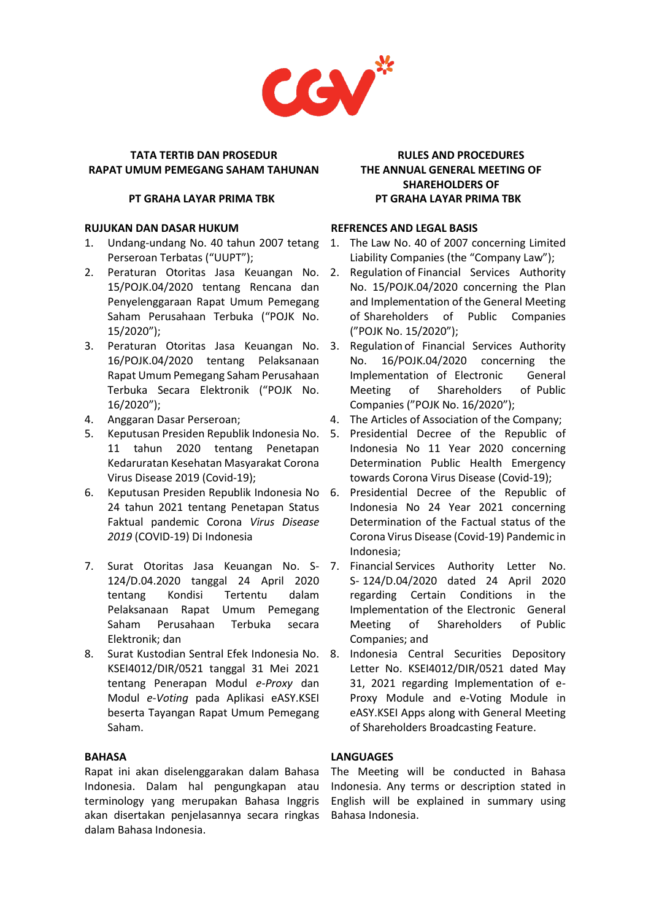

#### **PT GRAHA LAYAR PRIMA TBK**

## **RUJUKAN DAN DASAR HUKUM**

- 1. Undang-undang No. 40 tahun 2007 tetang Perseroan Terbatas ("UUPT");
- 2. Peraturan Otoritas Jasa Keuangan No. 15/POJK.04/2020 tentang Rencana dan Penyelenggaraan Rapat Umum Pemegang Saham Perusahaan Terbuka ("POJK No. 15/2020");
- 3. Peraturan Otoritas Jasa Keuangan No. 16/POJK.04/2020 tentang Pelaksanaan Rapat Umum Pemegang Saham Perusahaan Terbuka Secara Elektronik ("POJK No. 16/2020");
- 4. Anggaran Dasar Perseroan;
- 5. Keputusan Presiden Republik Indonesia No. 11 tahun 2020 tentang Penetapan Kedaruratan Kesehatan Masyarakat Corona Virus Disease 2019 (Covid-19);
- 6. Keputusan Presiden Republik Indonesia No 24 tahun 2021 tentang Penetapan Status Faktual pandemic Corona *Virus Disease 2019* (COVID-19) Di Indonesia
- 7. Surat Otoritas Jasa Keuangan No. S- 7. 124/D.04.2020 tanggal 24 April 2020 tentang Kondisi Tertentu dalam Pelaksanaan Rapat Umum Pemegang Saham Perusahaan Terbuka secara Elektronik; dan
- 8. Surat Kustodian Sentral Efek Indonesia No. KSEI4012/DIR/0521 tanggal 31 Mei 2021 tentang Penerapan Modul *e-Proxy* dan Modul *e-Voting* pada Aplikasi eASY.KSEI beserta Tayangan Rapat Umum Pemegang Saham.

# **BAHASA**

Rapat ini akan diselenggarakan dalam Bahasa Indonesia. Dalam hal pengungkapan atau terminology yang merupakan Bahasa Inggris akan disertakan penjelasannya secara ringkas dalam Bahasa Indonesia.

# **RULES AND PROCEDURES THE ANNUAL GENERAL MEETING OF SHAREHOLDERS OF PT GRAHA LAYAR PRIMA TBK**

## **REFRENCES AND LEGAL BASIS**

- The Law No. 40 of 2007 concerning Limited Liability Companies (the "Company Law");
- 2. Regulation of Financial Services Authority No. 15/POJK.04/2020 concerning the Plan and Implementation of the General Meeting of Shareholders of Public Companies ("POJK No. 15/2020");
- 3. Regulation of Financial Services Authority No. 16/POJK.04/2020 concerning the Implementation of Electronic General Meeting of Shareholders of Public Companies ("POJK No. 16/2020");
- 4. The Articles of Association of the Company;
- 5. Presidential Decree of the Republic of Indonesia No 11 Year 2020 concerning Determination Public Health Emergency towards Corona Virus Disease (Covid-19);
- 6. Presidential Decree of the Republic of Indonesia No 24 Year 2021 concerning Determination of the Factual status of the Corona Virus Disease (Covid-19) Pandemic in Indonesia;
- Financial Services Authority Letter No. S- 124/D.04/2020 dated 24 April 2020 regarding Certain Conditions in the Implementation of the Electronic General Meeting of Shareholders of Public Companies; and
- 8. Indonesia Central Securities Depository Letter No. KSEI4012/DIR/0521 dated May 31, 2021 regarding Implementation of e-Proxy Module and e-Voting Module in eASY.KSEI Apps along with General Meeting of Shareholders Broadcasting Feature.

# **LANGUAGES**

The Meeting will be conducted in Bahasa Indonesia. Any terms or description stated in English will be explained in summary using Bahasa Indonesia.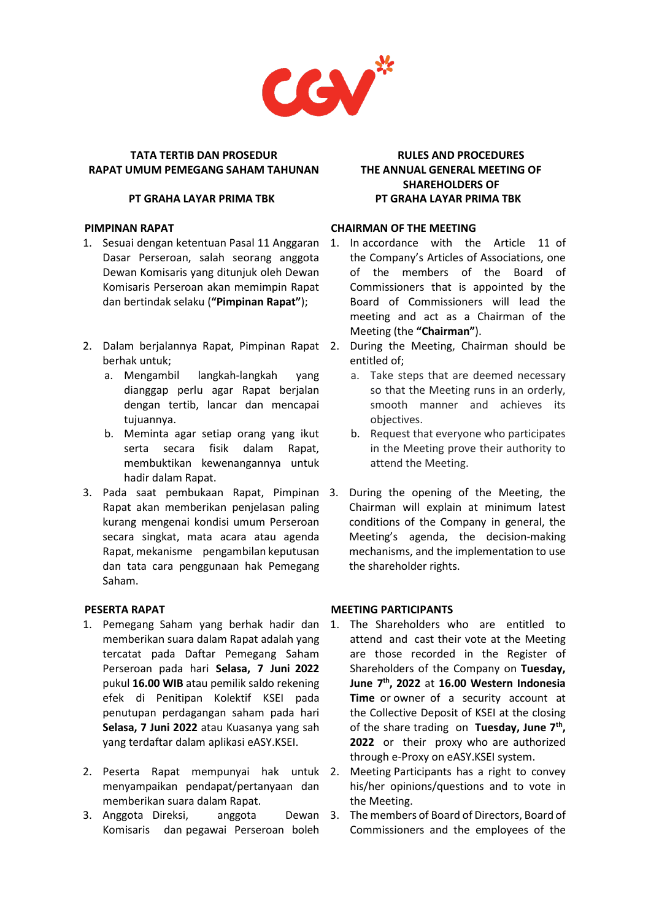

#### **PT GRAHA LAYAR PRIMA TBK**

#### **PIMPINAN RAPAT**

- 1. Sesuai dengan ketentuan Pasal 11 Anggaran Dasar Perseroan, salah seorang anggota Dewan Komisaris yang ditunjuk oleh Dewan Komisaris Perseroan akan memimpin Rapat dan bertindak selaku (**"Pimpinan Rapat"**);
- 2. Dalam berjalannya Rapat, Pimpinan Rapat berhak untuk;
	- a. Mengambil langkah-langkah yang dianggap perlu agar Rapat berjalan dengan tertib, lancar dan mencapai tujuannya.
	- b. Meminta agar setiap orang yang ikut serta secara fisik dalam Rapat, membuktikan kewenangannya untuk hadir dalam Rapat.
- 3. Pada saat pembukaan Rapat, Pimpinan Rapat akan memberikan penjelasan paling kurang mengenai kondisi umum Perseroan secara singkat, mata acara atau agenda Rapat, mekanisme pengambilan keputusan dan tata cara penggunaan hak Pemegang Saham.

# **PESERTA RAPAT**

- 1. Pemegang Saham yang berhak hadir dan memberikan suara dalam Rapat adalah yang tercatat pada Daftar Pemegang Saham Perseroan pada hari **Selasa, 7 Juni 2022** pukul **16.00 WIB** atau pemilik saldo rekening efek di Penitipan Kolektif KSEI pada penutupan perdagangan saham pada hari **Selasa, 7 Juni 2022** atau Kuasanya yang sah yang terdaftar dalam aplikasi eASY.KSEI.
- 2. Peserta Rapat mempunyai hak untuk menyampaikan pendapat/pertanyaan dan memberikan suara dalam Rapat.
- 3. Anggota Direksi, anggota Komisaris dan pegawai Perseroan boleh

# **RULES AND PROCEDURES THE ANNUAL GENERAL MEETING OF SHAREHOLDERS OF PT GRAHA LAYAR PRIMA TBK**

## **CHAIRMAN OF THE MEETING**

- 1. In accordance with the Article 11 of the Company's Articles of Associations, one of the members of the Board of Commissioners that is appointed by the Board of Commissioners will lead the meeting and act as a Chairman of the Meeting (the **"Chairman"**).
	- 2. During the Meeting, Chairman should be entitled of;
		- a. Take steps that are deemed necessary so that the Meeting runs in an orderly, smooth manner and achieves its objectives.
		- b. Request that everyone who participates in the Meeting prove their authority to attend the Meeting.
- During the opening of the Meeting, the Chairman will explain at minimum latest conditions of the Company in general, the Meeting's agenda, the decision-making mechanisms, and the implementation to use the shareholder rights.

# **MEETING PARTICIPANTS**

- 1. The Shareholders who are entitled to attend and cast their vote at the Meeting are those recorded in the Register of Shareholders of the Company on **Tuesday, June 7 th, 2022** at **16.00 Western Indonesia Time** or owner of a security account at the Collective Deposit of KSEI at the closing of the share trading on **Tuesday, June 7 th , 2022** or their proxy who are authorized through e-Proxy on eASY.KSEI system.
- 2. Meeting Participants has a right to convey his/her opinions/questions and to vote in the Meeting.
- 3. The members of Board of Directors, Board of Commissioners and the employees of the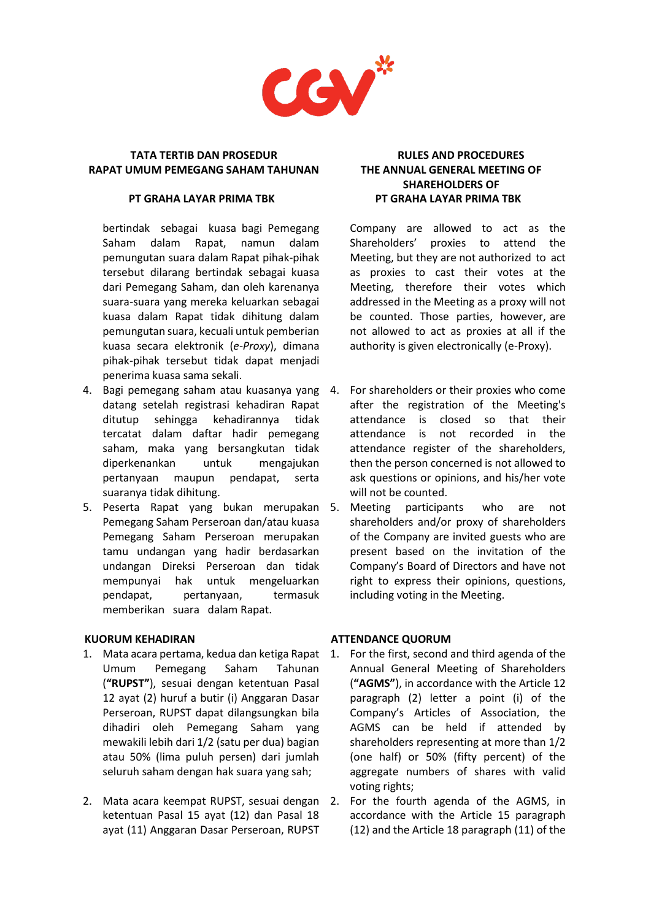

#### **PT GRAHA LAYAR PRIMA TBK**

bertindak sebagai kuasa bagi Pemegang Saham dalam Rapat, namun dalam pemungutan suara dalam Rapat pihak-pihak tersebut dilarang bertindak sebagai kuasa dari Pemegang Saham, dan oleh karenanya suara-suara yang mereka keluarkan sebagai kuasa dalam Rapat tidak dihitung dalam pemungutan suara, kecuali untuk pemberian kuasa secara elektronik (*e-Proxy*), dimana pihak-pihak tersebut tidak dapat menjadi penerima kuasa sama sekali.

- 4. Bagi pemegang saham atau kuasanya yang datang setelah registrasi kehadiran Rapat ditutup sehingga kehadirannya tidak tercatat dalam daftar hadir pemegang saham, maka yang bersangkutan tidak diperkenankan untuk mengajukan pertanyaan maupun pendapat, serta suaranya tidak dihitung.
- 5. Peserta Rapat yang bukan merupakan Pemegang Saham Perseroan dan/atau kuasa Pemegang Saham Perseroan merupakan tamu undangan yang hadir berdasarkan undangan Direksi Perseroan dan tidak mempunyai hak untuk mengeluarkan pendapat, pertanyaan, termasuk memberikan suara dalam Rapat.

### **KUORUM KEHADIRAN**

- 1. Mata acara pertama, kedua dan ketiga Rapat Umum Pemegang Saham Tahunan (**"RUPST"**), sesuai dengan ketentuan Pasal 12 ayat (2) huruf a butir (i) Anggaran Dasar Perseroan, RUPST dapat dilangsungkan bila dihadiri oleh Pemegang Saham yang mewakili lebih dari 1/2 (satu per dua) bagian atau 50% (lima puluh persen) dari jumlah seluruh saham dengan hak suara yang sah;
- 2. Mata acara keempat RUPST, sesuai dengan 2. For the fourth agenda of the AGMS, in ketentuan Pasal 15 ayat (12) dan Pasal 18 ayat (11) Anggaran Dasar Perseroan, RUPST

# **RULES AND PROCEDURES THE ANNUAL GENERAL MEETING OF SHAREHOLDERS OF PT GRAHA LAYAR PRIMA TBK**

Company are allowed to act as the Shareholders' proxies to attend the Meeting, but they are not authorized to act as proxies to cast their votes at the Meeting, therefore their votes which addressed in the Meeting as a proxy will not be counted. Those parties, however, are not allowed to act as proxies at all if the authority is given electronically (e-Proxy).

- 4. For shareholders or their proxies who come after the registration of the Meeting's attendance is closed so that their attendance is not recorded in the attendance register of the shareholders, then the person concerned is not allowed to ask questions or opinions, and his/her vote will not be counted.
- Meeting participants who are not shareholders and/or proxy of shareholders of the Company are invited guests who are present based on the invitation of the Company's Board of Directors and have not right to express their opinions, questions, including voting in the Meeting.

# **ATTENDANCE QUORUM**

- 1. For the first, second and third agenda of the Annual General Meeting of Shareholders (**"AGMS"**), in accordance with the Article 12 paragraph (2) letter a point (i) of the Company's Articles of Association, the AGMS can be held if attended by shareholders representing at more than 1/2 (one half) or 50% (fifty percent) of the aggregate numbers of shares with valid voting rights;
- accordance with the Article 15 paragraph (12) and the Article 18 paragraph (11) of the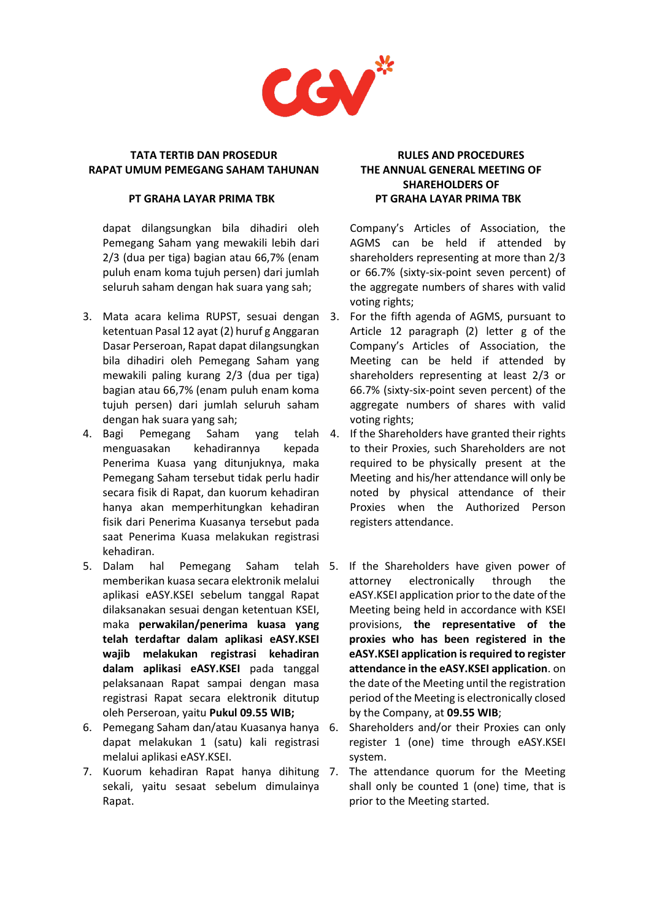

## **PT GRAHA LAYAR PRIMA TBK**

dapat dilangsungkan bila dihadiri oleh Pemegang Saham yang mewakili lebih dari 2/3 (dua per tiga) bagian atau 66,7% (enam puluh enam koma tujuh persen) dari jumlah seluruh saham dengan hak suara yang sah;

- 3. Mata acara kelima RUPST, sesuai dengan ketentuan Pasal 12 ayat (2) huruf g Anggaran Dasar Perseroan, Rapat dapat dilangsungkan bila dihadiri oleh Pemegang Saham yang mewakili paling kurang 2/3 (dua per tiga) bagian atau 66,7% (enam puluh enam koma tujuh persen) dari jumlah seluruh saham dengan hak suara yang sah;
- 4. Bagi Pemegang Saham yang telah menguasakan kehadirannya kepada Penerima Kuasa yang ditunjuknya, maka Pemegang Saham tersebut tidak perlu hadir secara fisik di Rapat, dan kuorum kehadiran hanya akan memperhitungkan kehadiran fisik dari Penerima Kuasanya tersebut pada saat Penerima Kuasa melakukan registrasi kehadiran.
- 5. Dalam hal Pemegang Saham telah memberikan kuasa secara elektronik melalui aplikasi eASY.KSEI sebelum tanggal Rapat dilaksanakan sesuai dengan ketentuan KSEI, maka **perwakilan/penerima kuasa yang telah terdaftar dalam aplikasi eASY.KSEI wajib melakukan registrasi kehadiran dalam aplikasi eASY.KSEI** pada tanggal pelaksanaan Rapat sampai dengan masa registrasi Rapat secara elektronik ditutup oleh Perseroan, yaitu **Pukul 09.55 WIB;**
- 6. Pemegang Saham dan/atau Kuasanya hanya dapat melakukan 1 (satu) kali registrasi melalui aplikasi eASY.KSEI.
- 7. Kuorum kehadiran Rapat hanya dihitung sekali, yaitu sesaat sebelum dimulainya Rapat.

# **RULES AND PROCEDURES THE ANNUAL GENERAL MEETING OF SHAREHOLDERS OF PT GRAHA LAYAR PRIMA TBK**

Company's Articles of Association, the AGMS can be held if attended by shareholders representing at more than 2/3 or 66.7% (sixty-six-point seven percent) of the aggregate numbers of shares with valid voting rights;

- For the fifth agenda of AGMS, pursuant to Article 12 paragraph (2) letter g of the Company's Articles of Association, the Meeting can be held if attended by shareholders representing at least 2/3 or 66.7% (sixty-six-point seven percent) of the aggregate numbers of shares with valid voting rights;
- If the Shareholders have granted their rights to their Proxies, such Shareholders are not required to be physically present at the Meeting and his/her attendance will only be noted by physical attendance of their Proxies when the Authorized Person registers attendance.
- If the Shareholders have given power of attorney electronically through the eASY.KSEI application prior to the date of the Meeting being held in accordance with KSEI provisions, **the representative of the proxies who has been registered in the eASY.KSEI application is required to register attendance in the eASY.KSEI application**. on the date of the Meeting until the registration period of the Meeting is electronically closed by the Company, at **09.55 WIB**;
- Shareholders and/or their Proxies can only register 1 (one) time through eASY.KSEI system.
- The attendance quorum for the Meeting shall only be counted 1 (one) time, that is prior to the Meeting started.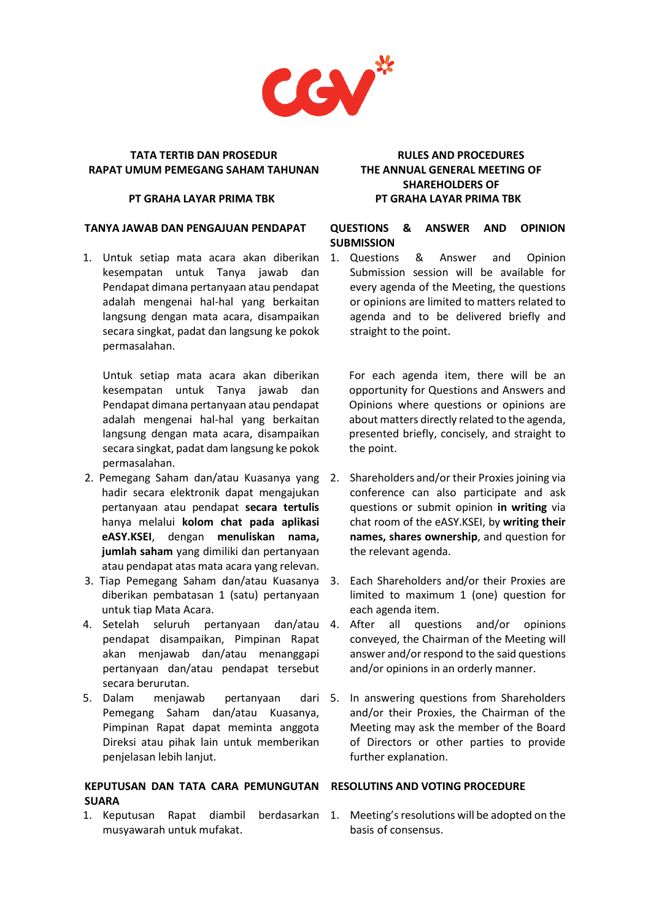

#### **PT GRAHA LAYAR PRIMA TBK**

#### **TANYA JAWAB DAN PENGAJUAN PENDAPAT**

1. Untuk setiap mata acara akan diberikan kesempatan untuk Tanya jawab dan Pendapat dimana pertanyaan atau pendapat adalah mengenai hal-hal yang berkaitan langsung dengan mata acara, disampaikan secara singkat, padat dan langsung ke pokok permasalahan.

Untuk setiap mata acara akan diberikan kesempatan untuk Tanya jawab dan Pendapat dimana pertanyaan atau pendapat adalah mengenai hal-hal yang berkaitan langsung dengan mata acara, disampaikan secara singkat, padat dam langsung ke pokok permasalahan.

- 2. Pemegang Saham dan/atau Kuasanya yang hadir secara elektronik dapat mengajukan pertanyaan atau pendapat **secara tertulis** hanya melalui **kolom chat pada aplikasi eASY.KSEI**, dengan **menuliskan nama, jumlah saham** yang dimiliki dan pertanyaan atau pendapat atas mata acara yang relevan.
- 3. Tiap Pemegang Saham dan/atau Kuasanya 3. Each Shareholders and/or their Proxies are diberikan pembatasan 1 (satu) pertanyaan untuk tiap Mata Acara.
- 4. Setelah seluruh pertanyaan dan/atau 4. After all questions and/or opinions pendapat disampaikan, Pimpinan Rapat akan menjawab dan/atau menanggapi pertanyaan dan/atau pendapat tersebut secara berurutan.
- 5. Dalam menjawab pertanyaan Pemegang Saham dan/atau Kuasanya, Pimpinan Rapat dapat meminta anggota Direksi atau pihak lain untuk memberikan penjelasan lebih lanjut.

# **KEPUTUSAN DAN TATA CARA PEMUNGUTAN RESOLUTINS AND VOTING PROCEDURE SUARA**

1. Keputusan Rapat diambil berdasarkan 1. Meeting's resolutions will be adopted on the musyawarah untuk mufakat.

# **RULES AND PROCEDURES THE ANNUAL GENERAL MEETING OF SHAREHOLDERS OF PT GRAHA LAYAR PRIMA TBK**

# **QUESTIONS & ANSWER AND OPINION SUBMISSION**

1. Questions & Answer and Opinion Submission session will be available for every agenda of the Meeting, the questions or opinions are limited to matters related to agenda and to be delivered briefly and straight to the point.

For each agenda item, there will be an opportunity for Questions and Answers and Opinions where questions or opinions are about matters directly related to the agenda, presented briefly, concisely, and straight to the point.

- 2. Shareholders and/or their Proxies joining via conference can also participate and ask questions or submit opinion **in writing** via chat room of the eASY.KSEI, by **writing their names, shares ownership**, and question for the relevant agenda.
- limited to maximum 1 (one) question for each agenda item.
- conveyed, the Chairman of the Meeting will answer and/or respond to the said questions and/or opinions in an orderly manner.
- 5. In answering questions from Shareholders and/or their Proxies, the Chairman of the Meeting may ask the member of the Board of Directors or other parties to provide further explanation.

basis of consensus.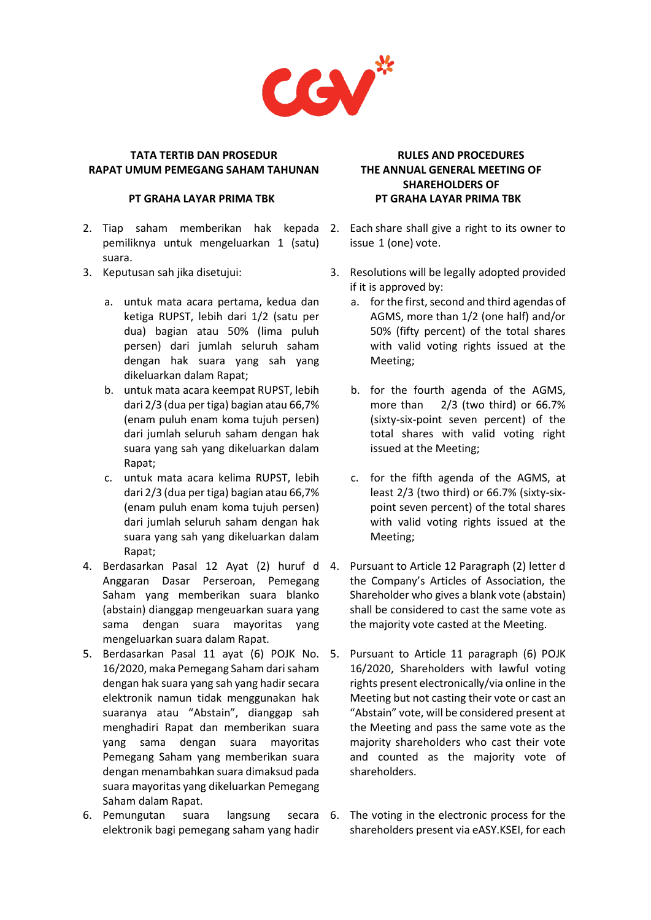

#### **PT GRAHA LAYAR PRIMA TBK**

- 2. Tiap saham memberikan hak kepada 2. Each share shall give a right to its owner to pemiliknya untuk mengeluarkan 1 (satu) suara.
- 3. Keputusan sah jika disetujui:
	- a. untuk mata acara pertama, kedua dan ketiga RUPST, lebih dari 1/2 (satu per dua) bagian atau 50% (lima puluh persen) dari jumlah seluruh saham dengan hak suara yang sah yang dikeluarkan dalam Rapat;
	- b. untuk mata acara keempat RUPST, lebih dari 2/3 (dua per tiga) bagian atau 66,7% (enam puluh enam koma tujuh persen) dari jumlah seluruh saham dengan hak suara yang sah yang dikeluarkan dalam Rapat;
	- c. untuk mata acara kelima RUPST, lebih dari 2/3 (dua per tiga) bagian atau 66,7% (enam puluh enam koma tujuh persen) dari jumlah seluruh saham dengan hak suara yang sah yang dikeluarkan dalam Rapat;
- 4. Berdasarkan Pasal 12 Ayat (2) huruf d Anggaran Dasar Perseroan, Pemegang Saham yang memberikan suara blanko (abstain) dianggap mengeuarkan suara yang sama dengan suara mayoritas yang mengeluarkan suara dalam Rapat.
- 5. Berdasarkan Pasal 11 ayat (6) POJK No. 16/2020, maka Pemegang Saham dari saham dengan hak suara yang sah yang hadir secara elektronik namun tidak menggunakan hak suaranya atau "Abstain", dianggap sah menghadiri Rapat dan memberikan suara yang sama dengan suara mayoritas Pemegang Saham yang memberikan suara dengan menambahkan suara dimaksud pada suara mayoritas yang dikeluarkan Pemegang Saham dalam Rapat.
- 6. Pemungutan suara langsung elektronik bagi pemegang saham yang hadir

# **RULES AND PROCEDURES THE ANNUAL GENERAL MEETING OF SHAREHOLDERS OF PT GRAHA LAYAR PRIMA TBK**

- issue 1 (one) vote.
- 3. Resolutions will be legally adopted provided if it is approved by:
	- a. for the first, second and third agendas of AGMS, more than 1/2 (one half) and/or 50% (fifty percent) of the total shares with valid voting rights issued at the Meeting;
	- b. for the fourth agenda of the AGMS, more than 2/3 (two third) or 66.7% (sixty-six-point seven percent) of the total shares with valid voting right issued at the Meeting;
	- c. for the fifth agenda of the AGMS, at least 2/3 (two third) or 66.7% (sixty-sixpoint seven percent) of the total shares with valid voting rights issued at the Meeting;
- Pursuant to Article 12 Paragraph (2) letter d the Company's Articles of Association, the Shareholder who gives a blank vote (abstain) shall be considered to cast the same vote as the majority vote casted at the Meeting.
- Pursuant to Article 11 paragraph (6) POJK 16/2020, Shareholders with lawful voting rights present electronically/via online in the Meeting but not casting their vote or cast an "Abstain" vote, will be considered present at the Meeting and pass the same vote as the majority shareholders who cast their vote and counted as the majority vote of shareholders.
- secara 6. The voting in the electronic process for the shareholders present via eASY.KSEI, for each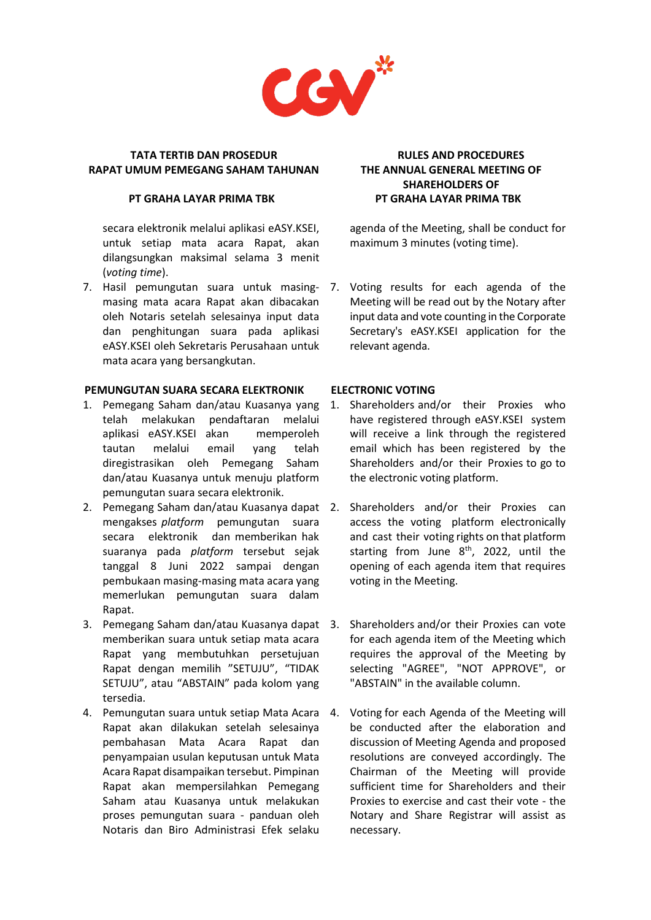

#### **PT GRAHA LAYAR PRIMA TBK**

secara elektronik melalui aplikasi eASY.KSEI, untuk setiap mata acara Rapat, akan dilangsungkan maksimal selama 3 menit (*voting time*).

7. Hasil pemungutan suara untuk masing-7. Voting results for each agenda of the masing mata acara Rapat akan dibacakan oleh Notaris setelah selesainya input data dan penghitungan suara pada aplikasi eASY.KSEI oleh Sekretaris Perusahaan untuk mata acara yang bersangkutan.

### **PEMUNGUTAN SUARA SECARA ELEKTRONIK**

- 1. Pemegang Saham dan/atau Kuasanya yang 1. Shareholders and/or their Proxies who telah melakukan pendaftaran melalui aplikasi eASY.KSEI akan memperoleh tautan melalui email yang telah diregistrasikan oleh Pemegang Saham dan/atau Kuasanya untuk menuju platform pemungutan suara secara elektronik.
- 2. Pemegang Saham dan/atau Kuasanya dapat 2. Shareholders and/or their Proxies can mengakses *platform* pemungutan suara secara elektronik dan memberikan hak suaranya pada *platform* tersebut sejak tanggal 8 Juni 2022 sampai dengan pembukaan masing-masing mata acara yang memerlukan pemungutan suara dalam Rapat.
- 3. Pemegang Saham dan/atau Kuasanya dapat 3. Shareholders and/or their Proxies can vote memberikan suara untuk setiap mata acara Rapat yang membutuhkan persetujuan Rapat dengan memilih "SETUJU", "TIDAK SETUJU", atau "ABSTAIN" pada kolom yang tersedia.
- 4. Pemungutan suara untuk setiap Mata Acara Rapat akan dilakukan setelah selesainya pembahasan Mata Acara Rapat dan penyampaian usulan keputusan untuk Mata Acara Rapat disampaikan tersebut. Pimpinan Rapat akan mempersilahkan Pemegang Saham atau Kuasanya untuk melakukan proses pemungutan suara - panduan oleh Notaris dan Biro Administrasi Efek selaku

# **RULES AND PROCEDURES THE ANNUAL GENERAL MEETING OF SHAREHOLDERS OF PT GRAHA LAYAR PRIMA TBK**

agenda of the Meeting, shall be conduct for maximum 3 minutes (voting time).

Meeting will be read out by the Notary after input data and vote counting in the Corporate Secretary's eASY.KSEI application for the relevant agenda.

# **ELECTRONIC VOTING**

- have registered through eASY.KSEI system will receive a link through the registered email which has been registered by the Shareholders and/or their Proxies to go to the electronic voting platform.
- access the voting platform electronically and cast their voting rights on that platform starting from June  $8<sup>th</sup>$ , 2022, until the opening of each agenda item that requires voting in the Meeting.
- for each agenda item of the Meeting which requires the approval of the Meeting by selecting "AGREE", "NOT APPROVE", or "ABSTAIN" in the available column.
- 4. Voting for each Agenda of the Meeting will be conducted after the elaboration and discussion of Meeting Agenda and proposed resolutions are conveyed accordingly. The Chairman of the Meeting will provide sufficient time for Shareholders and their Proxies to exercise and cast their vote - the Notary and Share Registrar will assist as necessary.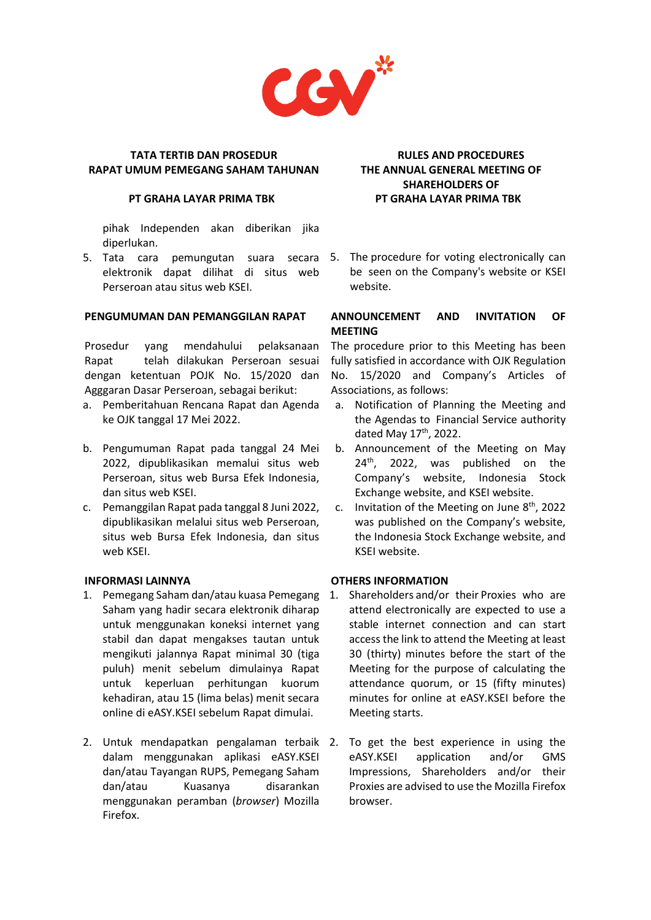

#### **PT GRAHA LAYAR PRIMA TBK**

pihak Independen akan diberikan jika diperlukan.

elektronik dapat dilihat di situs web Perseroan atau situs web KSEI.

# **PENGUMUMAN DAN PEMANGGILAN RAPAT**

Prosedur yang mendahului pelaksanaan Rapat telah dilakukan Perseroan sesuai dengan ketentuan POJK No. 15/2020 dan Agggaran Dasar Perseroan, sebagai berikut:

- a. Pemberitahuan Rencana Rapat dan Agenda ke OJK tanggal 17 Mei 2022.
- b. Pengumuman Rapat pada tanggal 24 Mei 2022, dipublikasikan memalui situs web Perseroan, situs web Bursa Efek Indonesia, dan situs web KSEI.
- c. Pemanggilan Rapat pada tanggal 8 Juni 2022, dipublikasikan melalui situs web Perseroan, situs web Bursa Efek Indonesia, dan situs web KSEI.

# **INFORMASI LAINNYA**

- 1. Pemegang Saham dan/atau kuasa Pemegang 1. Shareholders and/or their Proxies who are Saham yang hadir secara elektronik diharap untuk menggunakan koneksi internet yang stabil dan dapat mengakses tautan untuk mengikuti jalannya Rapat minimal 30 (tiga puluh) menit sebelum dimulainya Rapat untuk keperluan perhitungan kuorum kehadiran, atau 15 (lima belas) menit secara online di eASY.KSEI sebelum Rapat dimulai.
- 2. Untuk mendapatkan pengalaman terbaik 2. To get the best experience in using the dalam menggunakan aplikasi eASY.KSEI dan/atau Tayangan RUPS, Pemegang Saham dan/atau Kuasanya disarankan menggunakan peramban (*browser*) Mozilla Firefox.

# **RULES AND PROCEDURES THE ANNUAL GENERAL MEETING OF SHAREHOLDERS OF PT GRAHA LAYAR PRIMA TBK**

5. Tata cara pemungutan suara secara 5. The procedure for voting electronically can be seen on the Company's website or KSEI website.

# **ANNOUNCEMENT AND INVITATION OF MEETING**

The procedure prior to this Meeting has been fully satisfied in accordance with OJK Regulation No. 15/2020 and Company's Articles of Associations, as follows:

- a. Notification of Planning the Meeting and the Agendas to Financial Service authority dated May 17<sup>th</sup>, 2022.
- b. Announcement of the Meeting on May 24<sup>th</sup>, 2022, was published on the Company's website, Indonesia Stock Exchange website, and KSEI website.
- c. Invitation of the Meeting on June 8<sup>th</sup>, 2022 was published on the Company's website, the Indonesia Stock Exchange website, and KSEI website.

# **OTHERS INFORMATION**

- attend electronically are expected to use a stable internet connection and can start access the link to attend the Meeting at least 30 (thirty) minutes before the start of the Meeting for the purpose of calculating the attendance quorum, or 15 (fifty minutes) minutes for online at eASY.KSEI before the Meeting starts.
- eASY.KSEI application and/or GMS Impressions, Shareholders and/or their Proxies are advised to use the Mozilla Firefox browser.